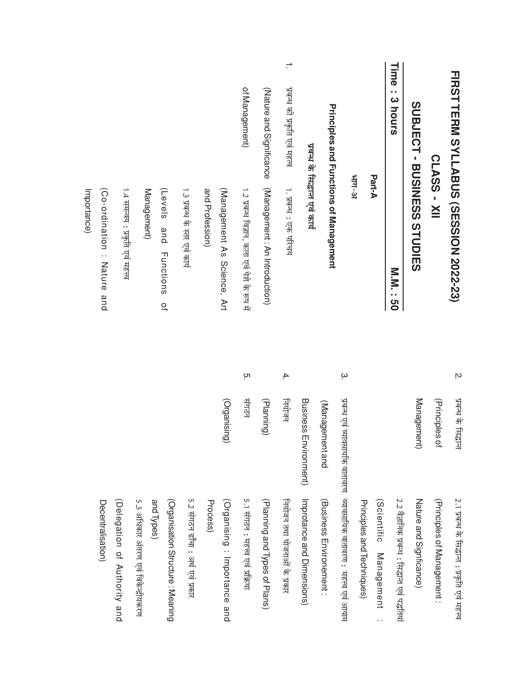|                              | <b>FIRST TERM SYLLABUS (SESSION 2022-23)</b><br>SUPLES SENESS STUDIES<br>CLASS - XII | <u>м</u>         | Management)<br>प्रबन्ध के सिद्धान<br>(Principles of | Nature and Signficance)<br>2.1 प्रबन्ध के सिद्धान्त : प्रकृति एवं महत्त्व<br>(Principles of Management: |
|------------------------------|--------------------------------------------------------------------------------------|------------------|-----------------------------------------------------|---------------------------------------------------------------------------------------------------------|
| Time<br>٠,<br>3 hours        | <b>N.N. 190</b>                                                                      |                  |                                                     | 2.2 वेज्ञानिक प्रबन्ध : सिद्धान्त एवं पद्धतियां                                                         |
|                              | Part-A                                                                               |                  |                                                     | (Scientific Management<br>$\cdot$ .                                                                     |
|                              |                                                                                      |                  |                                                     | Principles and Techniques)                                                                              |
|                              | भाग–अ                                                                                | $\tilde{\omega}$ |                                                     | प्रबन्ध एवं व्यावसायकि वातावरण व्यावसायिक वातावरण : महत्त्व एवं आयाम                                    |
|                              | <b>Principles and Functions of Management</b>                                        |                  | (Management and                                     | (Business Environement:                                                                                 |
|                              | प्रबन्ध के सिद्धान्त एवं कार्य                                                       |                  | Business Environment)                               | Improtance and Dimensions)                                                                              |
| प्रबन्ध की प्रकृति एवं महत्व | 1. प्रबन्ध : एक परिचय                                                                | 4.               | नियोजन                                              | नियोजन तथा योजनाओं के प्रकार                                                                            |
| (Nature and Significance     | (Management : An Introduction)                                                       |                  | (Planning)                                          | (Planning and Types of Plans)                                                                           |
| of Management)               | 1.2 प्रबन्ध विज्ञान, कला एवं पेशे के रूप में                                         | ŗΟ               | साठन                                                | 5.1 संगठन : महत्त्व एवं प्रक्रिया                                                                       |
|                              | (Management As Science, Art                                                          |                  | (Organising)                                        | (Organising: Importance and                                                                             |
|                              | and Profession)                                                                      |                  |                                                     | Process)                                                                                                |
|                              | 1.3 प्रबन्ध के स्तर एवं कार्य                                                        |                  |                                                     | 5.2 संगठन ढाँचा : अर्थ एवं प्रकार                                                                       |
|                              | (Levels<br>and<br>Functions<br>$\overline{a}$                                        |                  |                                                     | (Organisation Structure: Meaning                                                                        |
|                              | Management)                                                                          |                  |                                                     | 5.3 अधिकार अंतरण एवं विकेन्द्रीयकरण<br>and Types)                                                       |
|                              | 1.4 समन्वय : प्रकृति एवं महत्त्व                                                     |                  |                                                     | (Delegation of Authority and                                                                            |
|                              | Co-ordination: Nature and                                                            |                  |                                                     | Decentralisation)                                                                                       |
|                              | Importance)                                                                          |                  |                                                     |                                                                                                         |
|                              |                                                                                      |                  |                                                     |                                                                                                         |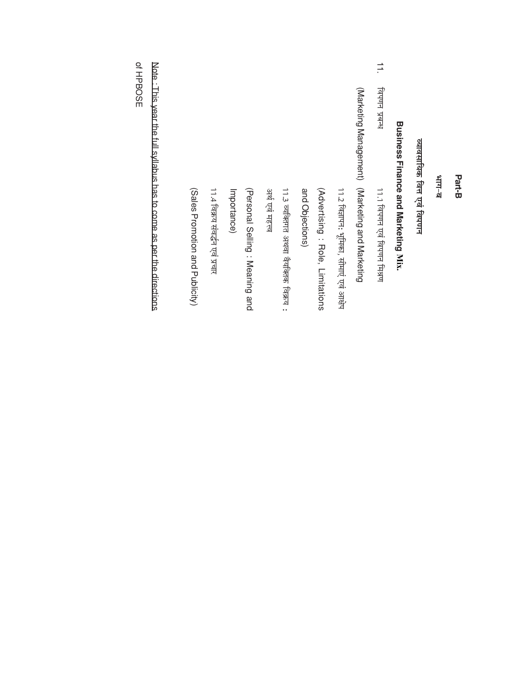|                                 | 11.4 विक्रय संवद्धन एवं प्रचार | Importance) | (Personal Selling: Meaning and | अर्थ एवं महत्त्व | 11.3 व्यक्तिगत अथवा वैयक्तिक विक्रय : | and Objections) | (Advertising: Role, Limitations | 11.2 विज्ञापन: भूमिका, सीमाएं एवं आक्षेप | (Marketing Management)<br>(Marketing and Marketing | 11.1 विपणन एवं विपणन मिश्रण | Business Finance and Marketing Mix. | व्यावसायिक वित्त एवं विपणन | ष-गग¥ | Part-B |
|---------------------------------|--------------------------------|-------------|--------------------------------|------------------|---------------------------------------|-----------------|---------------------------------|------------------------------------------|----------------------------------------------------|-----------------------------|-------------------------------------|----------------------------|-------|--------|
| (Sales Promotion and Publicity) |                                |             |                                |                  |                                       |                 |                                 |                                          |                                                    |                             |                                     |                            |       |        |

Note : This year the full syllabus has to come as per the directions

of HPBOSE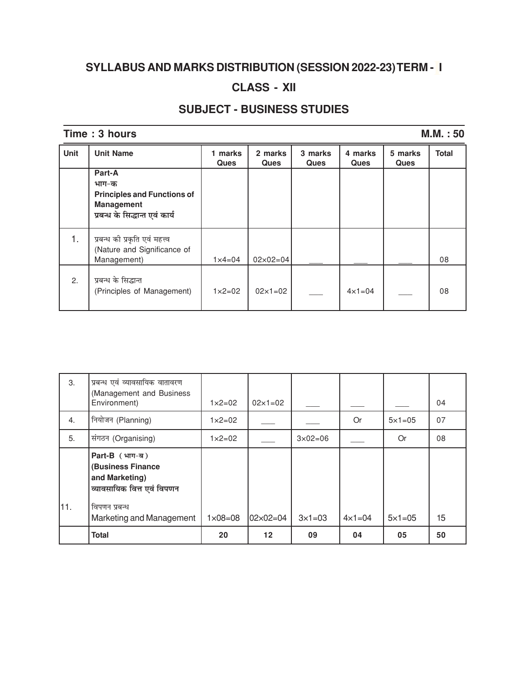# SYLLABUS AND MARKS DISTRIBUTION (SESSION 2022-23) TERM - I

## **CLASS - XII**

### **SUBJECT - BUSINESS STUDIES**

#### Time: 3 hours

#### $M.M. : 50$

| Unit | <b>Unit Name</b>                                                             | marks<br>1.<br><b>Ques</b> | 2 marks<br><b>Ques</b> | 3 marks<br>Ques | 4 marks<br><b>Ques</b> | 5 marks<br><b>Ques</b> | <b>Total</b> |
|------|------------------------------------------------------------------------------|----------------------------|------------------------|-----------------|------------------------|------------------------|--------------|
|      | Part-A<br>भाग-क<br><b>Principles and Functions of</b>                        |                            |                        |                 |                        |                        |              |
|      | <b>Management</b><br>प्रबन्ध के सिद्धान्त एवं कार्य                          |                            |                        |                 |                        |                        |              |
| 1.   | प्रबन्ध को प्रकृति एवं महत्त्व<br>(Nature and Significance of<br>Management) | $1 \times 4 = 04$          | $02 \times 02 = 04$    |                 |                        |                        | 08           |
| 2.   | प्रबन्ध के सिद्धान्त<br>(Principles of Management)                           | $1 \times 2 = 02$          | $02 \times 1 = 02$     |                 | $4 \times 1 = 04$      |                        | 08           |

| 3.  | प्रबन्ध एवं व्यावसायिक वातावरण<br>(Management and Business<br>Environment)                             | $1 \times 2 = 02$  | $02 \times 1 = 02$ |                    |                   |                   | 04 |
|-----|--------------------------------------------------------------------------------------------------------|--------------------|--------------------|--------------------|-------------------|-------------------|----|
| 4.  | नियोजन (Planning)                                                                                      | $1 \times 2 = 02$  |                    |                    | Or                | $5 \times 1 = 05$ | 07 |
| 5.  | संगठन (Organising)                                                                                     | $1 \times 2 = 02$  |                    | $3 \times 02 = 06$ |                   | Or                | 08 |
| 11. | $Part-B$ (भाग-ब)<br>(Business Finance<br>and Marketing)<br>व्यावसायिक वित्त एवं विपणन<br>विपणन प्रबन्ध |                    |                    |                    |                   | $5 \times 1 = 05$ | 15 |
|     | Marketing and Management                                                                               | $1 \times 08 = 08$ | 02×02=04           | $3 \times 1 = 03$  | $4 \times 1 = 04$ |                   |    |
|     | <b>Total</b>                                                                                           | 20                 | $12 \,$            | 09                 | 04                | 05                | 50 |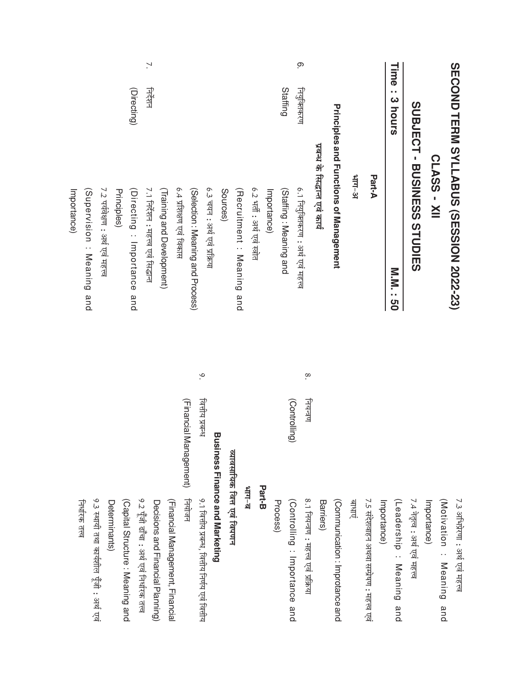|                          | SECOND TERM SYLLABUS (SESSION 2022-23)                                                                             |               |                        | 7.3 ऑभिप्रेरणा : अर्थ एवं महत्त्व               |
|--------------------------|--------------------------------------------------------------------------------------------------------------------|---------------|------------------------|-------------------------------------------------|
|                          |                                                                                                                    |               |                        | (Motivation: Meaning)<br>and                    |
|                          | CLASS - XII                                                                                                        |               |                        | Importance)                                     |
|                          | <b>SUDIES<br/> SUDIES<br/> SUPINISMENT<br/> DUS<br/> SUPINISMENT<br/> DUS<br/> SUPINISMENT<br/> DUS<br/> NOTES</b> |               |                        | 7.4 नेतृत्व : अर्थ एवं महत्त्व                  |
| Time<br>Ω,<br>3 hours    | <b>N.N. : 50</b>                                                                                                   |               |                        | (Leadership: Meaning<br>and                     |
|                          |                                                                                                                    |               |                        | Importance)                                     |
|                          | Part-A                                                                                                             |               |                        | 7.5 संदेशवाहन अथवा सम्प्रेषण : महत्त्व एवं      |
|                          | $16 - 1115$                                                                                                        |               |                        | जाधाए                                           |
|                          | <b>Principles and Functions of Management</b>                                                                      |               |                        | (Communication : Improtance and                 |
|                          | प्रबन्ध के सिद्धान्त एवं कार्य                                                                                     |               |                        | Barriers)                                       |
| <u>ှ</u>                 | 6.1 नियुक्तिकरण : अर्थ एवं महत्त्व                                                                                 | $\infty$      | नियन्त्रण              | 8.1 नियन्त्रण : महत्त्व एवं प्रक्रिया           |
| Staffing<br>नियुक्तिकरण  | (Staffing: Meaning and                                                                                             |               | (Controlling)          | (Controlling : Importance and                   |
|                          |                                                                                                                    |               |                        | Process)                                        |
|                          | 6.2 भर्ती : अर्थ एवं स्त्रोत<br>Importance)                                                                        |               |                        | Part-B                                          |
|                          |                                                                                                                    |               |                        | $\frac{1}{2}$                                   |
|                          | (Recruitment: Meaning and                                                                                          |               |                        | व्यावसायिक वित्त एवं विपणन                      |
|                          | Sources)                                                                                                           |               |                        | <b>Business Finance and Marketing</b>           |
|                          | 6.3 चयन : अर्थ एवं प्रक्रिया                                                                                       | $\mathsf{S}.$ | নিনীয प्रबन्ध          | 9.1 वित्तीय प्रबन्ध, वित्तीय निर्णय एवं वित्तीय |
|                          | (Selection: Meaning and Process)                                                                                   |               | (Financial Management) | नियोजन                                          |
|                          | 6.4 प्रशिक्षण एवं विकास                                                                                            |               |                        | (Financial Management, Financial                |
|                          | (Training and Development)                                                                                         |               |                        | Decisions and Financial Planning)               |
| <sup>7</sup> .<br>निर्शन | 7.1 निर्देशन : महत्त्व एवं सिद्धान्त                                                                               |               |                        | 9.2 पूँजी ढाँचा : अर्थ एवं निर्धारक तत्त्व      |
| (Directing)              | (Directing: Importance<br>and                                                                                      |               |                        | (Capital Structure: Meaning and                 |
|                          | Principles)                                                                                                        |               |                        | Determinants)                                   |
|                          | 7.2 पर्यवेक्षण : अर्थ एवं महत्त्व                                                                                  |               |                        | 9.3 स्थायी तथा कार्यशील पूँजी : अर्थ एवं        |
|                          | (Supervision: Meaning and                                                                                          |               |                        | निर्धारक तत्त्व                                 |
|                          | Importance)                                                                                                        |               |                        |                                                 |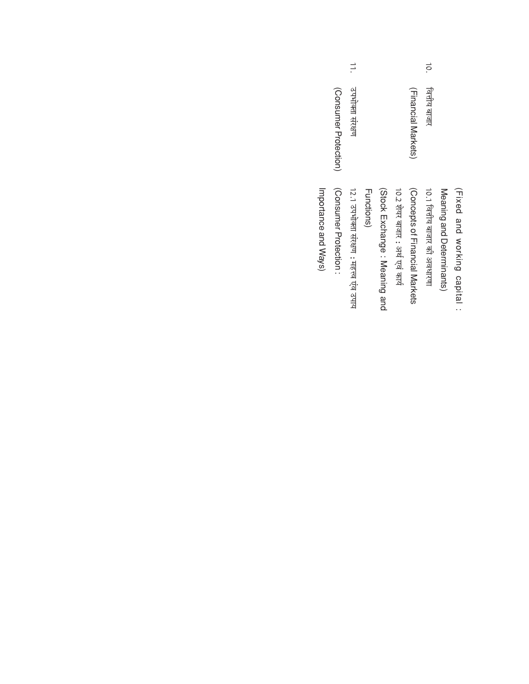|                      |                       | $\Rightarrow$                           |            |                              |                                  |                               | ō.<br>ৰিনীয আजार            |                           |                              |
|----------------------|-----------------------|-----------------------------------------|------------|------------------------------|----------------------------------|-------------------------------|-----------------------------|---------------------------|------------------------------|
|                      | (Consumer Protection) | उपभोक्ता संरक्षण                        |            |                              |                                  | (Financial Markets)           |                             |                           |                              |
| Importance and Ways) | Consumer Protection:  | 12.1 उपभोक्ता संरक्षण : महत्त्व एव उपाय | Functions) | (Stock Exchange: Meaning and | 10.2 शेयर बाजार : अर्थ एवं कार्य | Concepts of Hinancial Markets | 10.1 जितीय बाजार की अवधारणा | Meaning and Deterninants) | (Fixed and working capital : |